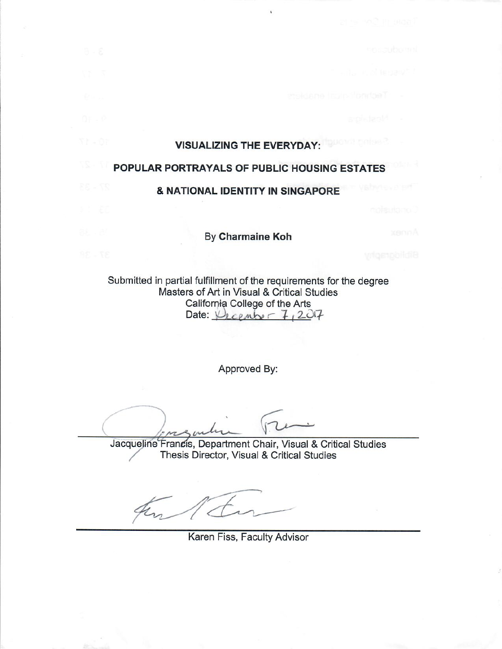# **VISUALIZING THE EVERYDAY:**

 $\mathbf{I}$ 

## POPULAR PORTRAYALS OF PUBLIC HOUSING ESTATES **& NATIONAL IDENTITY IN SINGAPORE**

By Charmaine Koh

Submitted in partial fulfillment of the requirements for the degree Masters of Art in Visual & Critical Studies California College of the Arts Date:  $V_{kCPm} = 7,207$ 

Approved By:

Jacqueline Francis, Department Chair, Visual & Critical Studies Thesis Director, Visual & Critical Studies

Karen Fiss, Faculty Advisor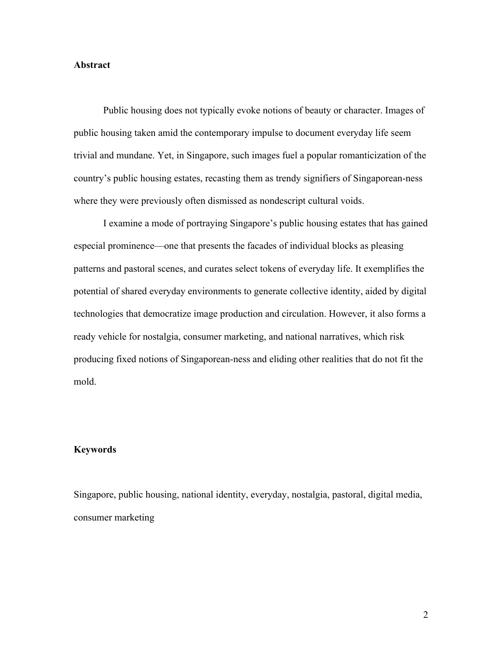#### **Abstract**

Public housing does not typically evoke notions of beauty or character. Images of public housing taken amid the contemporary impulse to document everyday life seem trivial and mundane. Yet, in Singapore, such images fuel a popular romanticization of the country's public housing estates, recasting them as trendy signifiers of Singaporean-ness where they were previously often dismissed as nondescript cultural voids.

I examine a mode of portraying Singapore's public housing estates that has gained especial prominence—one that presents the facades of individual blocks as pleasing patterns and pastoral scenes, and curates select tokens of everyday life. It exemplifies the potential of shared everyday environments to generate collective identity, aided by digital technologies that democratize image production and circulation. However, it also forms a ready vehicle for nostalgia, consumer marketing, and national narratives, which risk producing fixed notions of Singaporean-ness and eliding other realities that do not fit the mold.

#### **Keywords**

Singapore, public housing, national identity, everyday, nostalgia, pastoral, digital media, consumer marketing